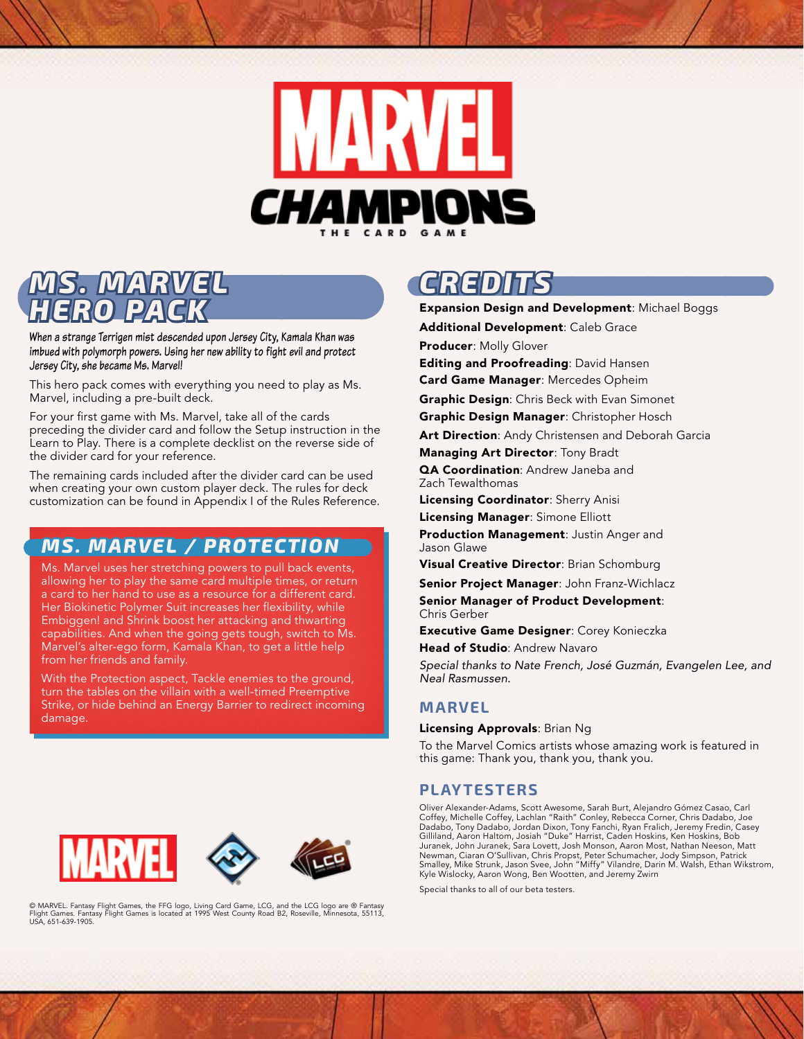

## **IS. MAR** *HERO PACK*

When a strange Terrigen mist descended upon Jersey City, Kamala Khan was imbued with polymorph powers. Using her new ability to fight evil and protect Jersey City, she became Ms. Marvel!

This hero pack comes with everything you need to play as Ms. Marvel, including a pre-built deck.

For your first game with Ms. Marvel, take all of the cards preceding the divider card and follow the Setup instruction in the Learn to Play. There is a complete decklist on the reverse side of the divider card for your reference.

The remaining cards included after the divider card can be used when creating your own custom player deck. The rules for deck customization can be found in Appendix I of the Rules Reference.

### *MS. MARVEL / PROTECTION*

Ms. Marvel uses her stretching powers to pull back events, allowing her to play the same card multiple times, or return a card to her hand to use as a resource for a different card. Her Biokinetic Polymer Suit increases her flexibility, while Embiggen! and Shrink boost her attacking and thwarting capabilities. And when the going gets tough, switch to Ms. Marvel's alter-ego form, Kamala Khan, to get a little help from her friends and family.

With the Protection aspect, Tackle enemies to the ground, turn the tables on the villain with a well-timed Preemptive Strike, or hide behind an Energy Barrier to redirect incoming damage.

# *CREDITS*

Expansion Design and Development: Michael Boggs

Additional Development: Caleb Grace

Producer: Molly Glover

**Editing and Proofreading: David Hansen** 

Card Game Manager: Mercedes Opheim

**Graphic Design: Chris Beck with Evan Simonet Graphic Design Manager: Christopher Hosch** 

Art Direction: Andy Christensen and Deborah Garcia

Managing Art Director: Tony Bradt

**QA Coordination: Andrew Janeba and** Zach Tewalthomas

Licensing Coordinator: Sherry Anisi

Licensing Manager: Simone Elliott

Production Management: Justin Anger and Jason Glawe

Visual Creative Director: Brian Schomburg

Senior Project Manager: John Franz-Wichlacz

Senior Manager of Product Development: Chris Gerber

Executive Game Designer: Corey Konieczka

Head of Studio: Andrew Navaro

*Special thanks to Nate French, José Guzmán, Evangelen Lee, and Neal Rasmussen.*

#### **MARVEL**

Licensing Approvals: Brian Ng

To the Marvel Comics artists whose amazing work is featured in this game: Thank you, thank you, thank you.

### **PLAYTESTERS**

Oliver Alexander-Adams, Scott Awesome, Sarah Burt, Alejandro Gómez Casao, Carl Coffey, Michelle Coffey, Lachlan "Raith" Conley, Rebecca Corner, Chris Dadabo, Joe Dadabo, Tony Dadabo, Jordan Dixon, Tony Fanchi, Ryan Fralich, Jeremy Fredin, Casey Gilliland, Aaron Haltom, Josiah "Duke" Harrist, Caden Hoskins, Ken Hoskins, Bob Juranek, John Juranek, Sara Lovett, Josh Monson, Aaron Most, Nathan Neeson, Matt Newman, Ciaran O'Sullivan, Chris Propst, Peter Schumacher, Jody Simpson, Patrick Smalley, Mike Strunk, Jason Svee, John "Miffy" Vilandre, Darin M. Walsh, Ethan Wikstrom, Kyle Wislocky, Aaron Wong, Ben Wootten, and Jeremy Zwirn

Special thanks to all of our beta testers.

© MARVEL. Fantasy Flight Games, the FFG logo, Living Card Game, LCG, and the LCG logo are ® Fantasy Flight Games. Fantasy Flight Games is located at 1995 West County Road B2, Roseville, Minnesota, 55113, USA, 651-639-1905.